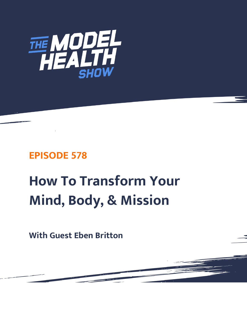

# **EPISODE 578**

# **How To Transform Your Mind, Body, & Mission**

**With Guest Eben Britton**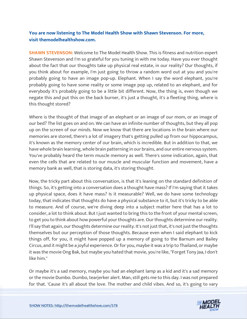# **You are now listening to The Model Health Show with Shawn Stevenson. For more, visit themodelhealthshow.com.**

**SHAWN STEVENSON:** Welcome to The Model Health Show. This is fitness and nutrition expert Shawn Stevenson and I'm so grateful for you tuning in with me today. Have you ever thought about the fact that our thoughts take up physical real estate, in our reality? Our thoughts, if you think about for example, I'm just going to throw a random word out at you and you're probably going to have an image pop-up. Elephant. When I say the word elephant, you're probably going to have some reality or some image pop up, related to an elephant, and for everybody it's probably going to be a little bit different. Now, the thing is, even though we negate this and put this on the back burner, it's just a thought, it's a fleeting thing, where is this thought stored?

Where is the thought of that image of an elephant or an image of our mom, or an image of our bed? The list goes on and on. We can have an infinite number of thoughts, but they all pop up on the screen of our minds. Now we know that there are locations in the brain where our memories are stored, there's a lot of imagery that's getting pulled up from our hippocampus, it's known as the memory center of our brain, which is incredible. But in addition to that, we have whole brain learning, whole brain patterning in our brains, and our entire nervous system. You've probably heard the term muscle memory as well. There's some indication, again, that even the cells that are related to our muscle and muscular function and movement, have a memory bank as well, that is storing data, it's storing thought.

Now, the tricky part about this conversation, is that it's leaning on the standard definition of things. So, it's getting into a conversation does a thought have mass? If I'm saying that it takes up physical space, does it have mass? Is it measurable? Well, we do have some technology today, that indicates that thoughts do have a physical substance to it, but it's tricky to be able to measure. And of course, we're diving deep into a subject matter here that has a lot to consider, a lot to think about. But I just wanted to bring this to the front of your mental screen, to get you to think about how powerful your thoughts are. Our thoughts determine our reality. I'll say that again, our thoughts determine our reality. It's not just that, it's not just the thoughts themselves but our perception of those thoughts. Because even when I said elephant to kick things off, for you, it might have popped up a memory of going to the Barnum and Bailey Circus, and it might be a joyful experience. Or for you, maybe it was a trip to Thailand, or maybe it was the movie Ong Bak, but maybe you hated that movie, you're like, "Forget Tony Jaa, I don't like him."

Or maybe it's a sad memory, maybe you had an elephant lamp as a kid and it's a sad memory or the movie Dumbo. Dumbo, tearjerker alert. Man, still gets me to this day. I was not prepared [for that.](https://themodelhealthshow.com/eben-britton/) '[Cause it](https://themodelhealthshow.com/eben-britton/)'[s all about the love. The mother and child vibes. And so, it](https://themodelhealthshow.com/eben-britton/)'[s going to vary](https://themodelhealthshow.com/eben-britton/) 

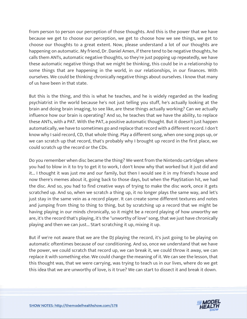from person to person our perception of those thoughts. And this is the power that we have because we get to choose our perception, we get to choose how we see things, we get to choose our thoughts to a great extent. Now, please understand a lot of our thoughts are happening on automatic. My friend, Dr. Daniel Amen, if there tend to be negative thoughts, he calls them ANTs, automatic negative thoughts, so they're just popping up repeatedly, we have these automatic negative things that we might be thinking, this could be in a relationship to some things that are happening in the world, in our relationships, in our finances. With ourselves. We could be thinking chronically negative things about ourselves. I know that many of us have been in that state.

But this is the thing, and this is what he teaches, and he is widely regarded as the leading psychiatrist in the world because he's not just telling you stuff, he's actually looking at the brain and doing brain imaging, to see like, are these things actually working? Can we actually influence how our brain is operating? And so, he teaches that we have the ability, to replace these ANTs, with a PAT. With the PAT, a positive automatic thought. But it doesn't just happen automatically, we have to sometimes go and replace that record with a different record. I don't know why I said record, CD, that whole thing. Play a different song, when one song pops up, or we can scratch up that record, that's probably why I brought up record in the first place, we could scratch up the record or the CDs.

Do you remember when disc became the thing? We went from the Nintendo cartridges where you had to blow in it to try to get it to work, I don't know why that worked but it just did and it... I thought it was just me and our family, but then I would see it in my friend's house and now there's memes about it, going back to those days, but when the PlayStation hit, we had the disc. And so, you had to find creative ways of trying to make the disc work, once it gets scratched up. And so, when we scratch a thing up, it no longer plays the same way, and let's just stay in the same vein as a record player. It can create some different textures and notes and jumping from thing to thing to thing, but by scratching up a record that we might be having playing in our minds chronically, so it might be a record playing of how unworthy we are, it's the record that's playing, it's the "unworthy of love" song, that we just have chronically playing and then we can just... Start scratching it up, mixing it up.

But if we're not aware that we are the DJ playing the record, it's just going to be playing on automatic oftentimes because of our conditioning. And so, once we understand that we have the power, we could scratch that record up, we can break it, we could throw it away, we can replace it with something else. We could change the meaning of it. We can see the lesson, that this thought was, that we were carrying, was trying to teach us in our lives, where do we get this idea that we are unworthy of love, is it true? We can start to dissect it and break it down.

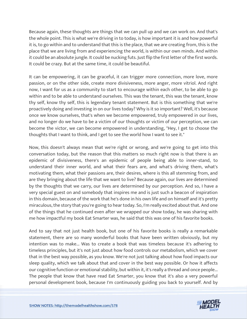Because again, these thoughts are things that we can pull up and we can work on. And that's the whole point. This is what we're driving in to today, is how important it is and how powerful it is, to go within and to understand that this is the place, that we are creating from, this is the place that we are living from and experiencing the world, is within our own minds. And within it could be an absolute jungle. It could be nucking futs. Just flip the first letter of the first words. It could be crazy. But at the same time, it could be beautiful.

It can be empowering, it can be graceful, it can trigger more connection, more love, more passion, or on the other side, create more divisiveness, more anger, more vitriol. And right now, I want for us as a community to start to encourage within each other, to be able to go within and to be able to understand ourselves. This was the tenant, this was the tenant, know thy self, know thy self, this is legendary tenant statement. But is this something that we're proactively doing and investing in on our lives today? Why is it so important? Well, it's because once we know ourselves, that's when we become empowered, truly empowered in our lives, and no longer do we have to be a victim of our thoughts or victim of our perception, we can become the victor, we can become empowered in understanding, "Hey, I get to choose the thoughts that I want to think, and I get to see the world how I want to see it."

Now, this doesn't always mean that we're right or wrong, and we're going to get into this conversation today, but the reason that this matters so much right now is that there is an epidemic of divisiveness, there's an epidemic of people being able to inner-stand, to understand their inner world, and what their fears are, and what's driving them, what's motivating them, what their passions are, their desires, where is this all stemming from, and are they bringing about the life that we want to live? Because again, our lives are determined by the thoughts that we carry, our lives are determined by our perception. And so, I have a very special guest on and somebody that inspires me and is just such a beacon of inspiration in this domain, because of the work that he's done in his own life and on himself and it's pretty miraculous, the story that you're going to hear today. So, I'm really excited about that. And one of the things that he continued even after we wrapped our show today, he was sharing with me how impactful my book Eat Smarter was, he said that this was one of his favorite books.

And to say that not just health book, but one of his favorite books is really a remarkable statement, there are so many wonderful books that have been written obviously, but my intention was to make... Was to create a book that was timeless because it's adhering to timeless principles, but it's not just about how food controls our metabolism, which we cover that in the best way possible, as you know. We're not just talking about how food impacts our sleep quality, which we talk about that and cover in the best way possible. Or how it affects our cognitive function or emotional stability, but within it, it's really a thread and once people... The people that know that have read Eat Smarter, you know that it's also a very powerful [personal development book, because I](https://themodelhealthshow.com/eben-britton/)'[m continuously guiding you back to yourself. And by](https://themodelhealthshow.com/eben-britton/)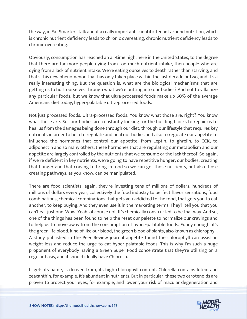the way, in Eat Smarter I talk about a really important scientific tenant around nutrition, which is chronic nutrient deficiency leads to chronic overeating, chronic nutrient deficiency leads to chronic overeating.

Obviously, consumption has reached an all-time high, here in the United States, to the degree that there are far more people dying from too much nutrient intake, then people who are dying from a lack of nutrient intake. We're eating ourselves to death rather than starving, and that's this new phenomenon that has only taken place within the last decade or two, and it's a really interesting thing. But the question is, what are the biological mechanisms that are getting us to hurt ourselves through what we're putting into our bodies? And not to villainize any particular foods, but we know that ultra-processed foods make up 60% of the average Americans diet today, hyper-palatable ultra-processed foods.

Not just processed foods. Ultra-processed foods. You know what those are, right? You know what those are. But our bodies are constantly looking for the building blocks to repair us to heal us from the damages being done through our diet, through our lifestyle that requires key nutrients in order to help to regulate and heal our bodies and also to regulate our appetite to influence the hormones that control our appetite, from Leptin, to ghrelin, to CCK, to adiponectin and so many others, these hormones that are regulating our metabolism and our appetite are largely controlled by the nutrients that we consume or the lack thereof. So again, if we're deficient in key nutrients, we're going to have repetitive hunger, our bodies, creating that hunger and that craving to bring in food so we can get those nutrients, but also those creating pathways, as you know, can be manipulated.

There are food scientists, again, they're investing tens of millions of dollars, hundreds of millions of dollars every year, collectively the food industry to perfect flavor sensations, food combinations, chemical combinations that gets you addicted to the food, that gets you to eat another, to keep buying. And they even use it in the marketing terms. They'll tell you that you can't eat just one. Wow. Yeah, of course not. It's chemically constructed to be that way. And so, one of the things has been found to help the reset our palette to normalize our cravings and to help us to move away from the consumption of hyper-palatable foods. Funny enough, it's the green life blood, kind of like our blood, the green blood of plants, also known as chlorophyll. A study published in the Peer Review journal appetite found the chlorophyll can assist in weight loss and reduce the urge to eat hyper-palatable foods. This is why I'm such a huge proponent of everybody having a Green Super Food concentrate that they're utilizing on a regular basis, and it should ideally have Chlorella.

It gets its name, is derived from, its high chlorophyll content. Chlorella contains lutein and zeaxanthin, for example. It's abundant in nutrients. But in particular, these two carotenoids are [proven to protect your eyes, for example, and lower your risk of macular degeneration and](https://themodelhealthshow.com/eben-britton/)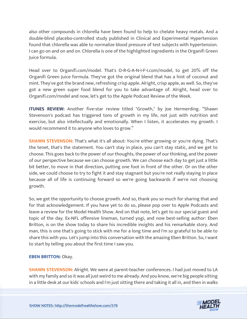also other compounds in chlorella have been found to help to chelate heavy metals. And a double-blind placebo-controlled study published in Clinical and Experimental Hypertension found that chlorella was able to normalize blood pressure of test subjects with hypertension. I can go on and on and on. Chlorella is one of the highlighted ingredients in the Organifi Green Juice formula.

Head over to Organifi.com/model. That's O-R-G-A-N-I-F-I.com/model, to get 20% off the Organifi Green Juice formula. They've got the original blend that has a hint of coconut and mint. They've got the brand new, refreshing crisp apple. Alright, crisp apple, as well. So, they've got a new green super food blend for you to take advantage of. Alright, head over to Organifi.com/model and now, let's get to the Apple Podcast Review of the Week.

**ITUNES REVIEW:** Another five-star review titled "Growth," by Joe Hermerding. "Shawn Stevenson's podcast has triggered tons of growth in my life, not just with nutrition and exercise, but also intellectually and emotionally. When I listen, it accelerates my growth. I would recommend it to anyone who loves to grow."

**SHAWN STEVENSON:** That's what it's all about: You're either growing or you're dying. That's the tenet, that's the statement. You can't stay in place, you can't stay static, and we get to choose. This goes back to the power of our thoughts, the power of our thinking, and the power of our perspective because we can choose growth. We can choose each day to get just a little bit better, to move in that direction, putting one foot in front of the other. Or on the other side, we could choose to try to fight it and stay stagnant but you're not really staying in place because all of life is continuing forward so we're going backwards if we're not choosing growth.

So, we get the opportunity to choose growth. And so, thank you so much for sharing that and for that acknowledgement. If you have yet to do so, please pop over to Apple Podcasts and leave a review for the Model Health Show. And on that note, let's get to our special guest and topic of the day. Ex-NFL offensive lineman, turned yogi, and now best-selling author: Eben Britton, is on the show today to share his incredible insights and his remarkable story. And man, this is one that's going to stick with me for a long time and I'm so grateful to be able to share this with you. Let's jump into this conversation with the amazing Eben Britton. So, I want to start by telling you about the first time I saw you.

# **EBEN BRITTON:** Okay.

**SHAWN STEVENSON:** Alright. We were at parent-teacher conferences. I had just moved to LA with my family and so it was all just weird to me already. And you know, we're big people sitting [in a little desk at our kids](https://themodelhealthshow.com/eben-britton/)' [schools and I](https://themodelhealthshow.com/eben-britton/)'[m just sitting there and taking it all in, and then in walks](https://themodelhealthshow.com/eben-britton/) 

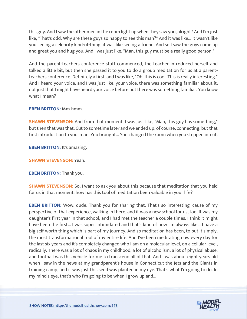this guy. And I saw the other men in the room light up when they saw you, alright? And I'm just like, "That's odd. Why are these guys so happy to see this man?" And it was like... It wasn't like you seeing a celebrity kind-of-thing, it was like seeing a friend. And so I saw the guys come up and greet you and hug you. And I was just like, "Man, this guy must be a really good person."

And the parent-teachers conference stuff commenced, the teacher introduced herself and talked a little bit, but then she passed it to you to do a group meditation for us at a parentteachers conference. Definitely a first, and I was like, "Oh, this is cool. This is really interesting." And I heard your voice, and I was just like, your voice, there was something familiar about it, not just that I might have heard your voice before but there was something familiar. You know what I mean?

# **EBEN BRITTON:** Mm-hmm.

**SHAWN STEVENSON:** And from that moment, I was just like, "Man, this guy has something," but then that was that. Cut to sometime later and we ended up, of course, connecting, but that first introduction to you, man. You brought... You changed the room when you stepped into it.

**EBEN BRITTON:** It's amazing.

**SHAWN STEVENSON:** Yeah.

**EBEN BRITTON:** Thank you.

**SHAWN STEVENSON:** So, I want to ask you about this because that meditation that you held for us in that moment, how has this tool of meditation been valuable in your life?

**EBEN BRITTON:** Wow, dude. Thank you for sharing that. That's so interesting 'cause of my perspective of that experience, walking in there, and it was a new school for us, too. It was my daughter's first year in that school, and I had met the teacher a couple times. I think it might have been the first... I was super intimidated and that's kind of how I'm always like... I have a big self-worth thing which is part of my journey. And so meditation has been, to put it simply, the most transformational tool of my entire life. And I've been meditating now every day for the last six years and it's completely changed who I am on a molecular level, on a cellular level, radically. There was a lot of chaos in my childhood, a lot of alcoholism, a lot of physical abuse, and football was this vehicle for me to transcend all of that. And I was about eight years old when I saw in the news at my grandparent's house in Connecticut the Jets and the Giants in training camp, and it was just this seed was planted in my eye. That's what I'm going to do. In my mind's eye, that's who I'm going to be when I grow up and...

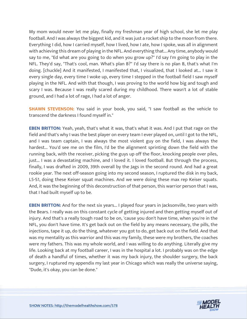My mom would never let me play, finally my freshman year of high school, she let me play football. And I was always the biggest kid, and it was just a rocket ship to the moon from there. Everything I did, how I carried myself, how I lived, how I ate, how I spoke, was all in alignment with achieving this dream of playing in the NFL. And everything that... Any time, anybody would say to me, "Ed what are you going to do when you grow up?" I'd say I'm going to play in the NFL. They'd say, "That's cool, man. What's plan B?" I'd say there is no plan B, that's what I'm doing. [chuckle] And it manifested, I manifested that, I visualized, that I looked at... I saw it every single day, every time I woke up, every time I stepped in the football field I saw myself playing in the NFL. And with that though, I was proving to the world how big and tough and scary I was. Because I was really scared during my childhood. There wasn't a lot of stable ground, and I had a lot of rage, I had a lot of anger.

**SHAWN STEVENSON:** You said in your book, you said, "I saw football as the vehicle to transcend the darkness I found myself in."

**EBEN BRITTON:** Yeah, yeah, that's what it was, that's what it was. And I put that rage on the field and that's why I was the best player on every team I ever played on, until I got to the NFL, and I was team captain, I was always the most violent guy on the field, I was always the hardest... You'd see me on the film, I'd be the alignment sprinting down the field with the running back, with the receiver, picking the guys up off the floor, knocking people over piles, just... I was a devastating machine, and I loved it. I loved football. But through the process, finally, I was drafted in 2009, 39th overall by the Jags in the second round. And had a great rookie year. The next off-season going into my second season, I ruptured the disk in my back, L5-S1, doing these Keiser squat machines. And we were doing these max rep Keiser squats. And, it was the beginning of this deconstruction of that person, this warrior person that I was, that I had built myself up to be.

**EBEN BRITTON:** And for the next six years... I played four years in Jacksonville, two years with the Bears. I really was on this constant cycle of getting injured and then getting myself out of injury. And that's a really tough road to be on, 'cause you don't have time, when you're in the NFL, you don't have time. It's get back out on the field by any means necessary, the pills, the injections, tape it up, do the thing, whatever you got to do, get back out on the field. And that was my mentality as this warrior and this was my family, these were my brothers, the coaches were my fathers. This was my whole world, and I was willing to do anything. Literally give my life. Looking back at my football career, I was in the hospital a lot. I probably was on the edge of death a handful of times, whether it was my back injury, the shoulder surgery, the back surgery, I ruptured my appendix my last year in Chicago which was really the universe saying, "Dude, it's okay, you can be done."

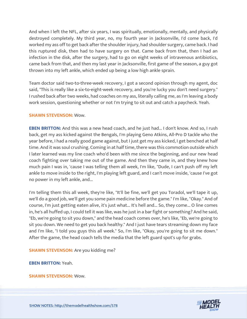And when I left the NFL, after six years, I was spiritually, emotionally, mentally, and physically destroyed completely. My third year, no, my fourth year in Jacksonville, I'd come back, I'd worked my ass off to get back after the shoulder injury, had shoulder surgery, came back. I had this ruptured disk, then had to have surgery on that. Came back from that, then I had an infection in the disk, after the surgery, had to go on eight weeks of intravenous antibiotics, came back from that, and then my last year in Jacksonville, first game of the season, a guy got thrown into my left ankle, which ended up being a low high ankle sprain.

Team doctor said two-to-three-week recovery, I got a second opinion through my agent, doc said, "This is really like a six-to-eight-week recovery, and you're lucky you don't need surgery." I rushed back after two weeks, had coaches on my ass, literally calling me, as I'm leaving a body work session, questioning whether or not I'm trying to sit out and catch a paycheck. Yeah.

# **SHAWN STEVENSON:** Wow.

**EBEN BRITTON:** And this was a new head coach, and he just had... I don't know. And so, I rush back, get my ass kicked against the Bengals, I'm playing Geno Atkins, All-Pro D tackle who the year before, I had a really good game against, but I just get my ass kicked, I get benched at half time. And it was soul crushing. Coming in at half time, there was this commotion outside which I later learned was my line coach who'd been with me since the beginning, and our new head coach fighting over taking me out of the game. And then they came in, and they knew how much pain I was in, 'cause I was telling them all week, I'm like, "Dude, I can't push off my left ankle to move inside to the right, I'm playing left guard, and I can't move inside, 'cause I've got no power in my left ankle, and...

I'm telling them this all week, they're like, "It'll be fine, we'll get you Toradol, we'll tape it up, we'll do a good job, we'll get you some pain medicine before the game." I'm like, "Okay." And of course, I'm just getting eaten alive, it's just what... It's hell and... So, they come... O line comes in, he's all huffed up, I could tell it was like, was he just in a bar fight or something? And he said, "Eb, we're going to sit you down," and the head coach comes over, he's like, "Eb, we're going to sit you down. We need to get you back healthy." And I just have tears streaming down my face and I'm like, "I told you guys this all week." So, I'm like, "Okay, you're going to sit me down." After the game, the head coach tells the media that the left guard spot's up for grabs.

**SHAWN STEVENSON:** Are you kidding me?

**EBEN BRITTON:** Yeah.

**SHAWN STEVENSON:** Wow.

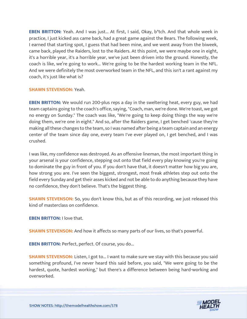**EBEN BRITTON:** Yeah. And I was just... At first, I said, Okay, b\*tch. And that whole week in practice, I just kicked ass came back, had a great game against the Bears. The following week, I earned that starting spot, I guess that had been mine, and we went away from the biweek, came back, played the Raiders, lost to the Raiders. At this point, we were maybe one in eight, it's a horrible year, it's a horrible year, we've just been driven into the ground. Honestly, the coach is like, we're going to work... We're going to be the hardest working team in the NFL. And we were definitely the most overworked team in the NFL, and this isn't a rant against my coach, it's just like what is?

#### **SHAWN STEVENSON:** Yeah.

**EBEN BRITTON:** We would run 200-plus reps a day in the sweltering heat, every guy, we had team captains going to the coach's office, saying, "Coach, man, we're done. We're toast, we got no energy on Sunday." The coach was like, "We're going to keep doing things the way we're doing them, we're one in eight." And so, after the Raiders game, I get benched 'cause they're making all these changes to the team, so I was named after being a team captain and an energy center of the team since day one, every team I've ever played on, I get benched, and I was crushed.

I was like, my confidence was destroyed. As an offensive lineman, the most important thing in your arsenal is your confidence, stepping out onto that field every play knowing you're going to dominate the guy in front of you. If you don't have that, it doesn't matter how big you are, how strong you are. I've seen the biggest, strongest, most freak athletes step out onto the field every Sunday and get their asses kicked and not be able to do anything because they have no confidence, they don't believe. That's the biggest thing.

**SHAWN STEVENSON:** So, you don't know this, but as of this recording, we just released this kind of masterclass on confidence.

**EBEN BRITTON:** I love that.

**SHAWN STEVENSON:** And how it affects so many parts of our lives, so that's powerful.

**EBEN BRITTON: Perfect, perfect. Of course, you do...** 

**SHAWN STEVENSON:** Listen, I got to... I want to make sure we stay with this because you said something profound, I've never heard this said before, you said, "We were going to be the hardest, quote, hardest working," but there's a difference between being hard-working and overworked.

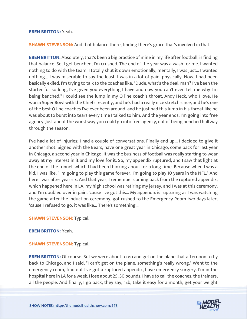#### **EBEN BRITTON:** Yeah.

**SHAWN STEVENSON:** And that balance there, finding there's grace that's involved in that.

**EBEN BRITTON:** Absolutely, that's been a big practice of mine in my life after football, is finding that balance. So, I get benched, I'm crushed. The end of the year was a wash for me. I wanted nothing to do with the team. I totally shut it down emotionally, mentally, I was just... I wanted nothing... I was miserable to say the least. I was in a lot of pain, physically. Now, I had been basically exiled, I'm trying to talk to the coaches like, "Dude, what's the deal, man? I've been the starter for so long, I've given you everything I have and now you can't even tell me why I'm being benched." I could see the lump in my O line coach's throat, Andy Heck, who I love. He won a Super Bowl with the Chiefs recently, and he's had a really nice stretch since, and he's one of the best O line coaches I've ever been around, and he just had this lump in his throat like he was about to burst into tears every time I talked to him. And the year ends, I'm going into free agency. Just about the worst way you could go into free agency, out of being benched halfway through the season.

I've had a lot of injuries; I had a couple of conversations. Finally end up... I decided to give it another shot. Signed with the Bears, have one great year in Chicago, come back for last year in Chicago, a second year in Chicago. It was the business of football was really starting to wear away at my interest in it and my love for it. So, my appendix ruptured, and I saw that light at the end of the tunnel, which I had been thinking about for a long time. Because when I was a kid, I was like, "I'm going to play this game forever, I'm going to play 10 years in the NFL." And here I was after year six. And that year, I remember coming back from the ruptured appendix, which happened here in LA, my high school was retiring my jersey, and I was at this ceremony, and I'm doubled over in pain, 'cause I've got this... My appendix is rupturing as I was watching the game after the induction ceremony, got rushed to the Emergency Room two days later, 'cause I refused to go, it was like... There's something...

**SHAWN STEVENSON: Typical.** 

#### **EBEN BRITTON:** Yeah.

#### **SHAWN STEVENSON: Typical.**

**EBEN BRITTON:** Of course. But we were about to go and get on the plane that afternoon to fly back to Chicago, and I said, "I can't get on the plane, something's really wrong." Went to the emergency room, find out I've got a ruptured appendix, have emergency surgery. I'm in the hospital here in LA for a week, I lose about 25, 30 pounds. I have to call the coaches, the trainers, [all the people. And finally, I go back, they say, "Eb, take it easy for a month, get your weight](https://themodelhealthshow.com/eben-britton/) 

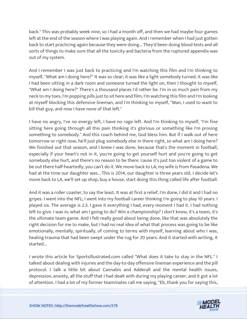back." This was probably week nine, so I had a month off, and then we had maybe four games left at the end of the season where I was playing again. And I remember when I had just gotten back to start practicing again because they were doing... They'd been doing blood tests and all sorts of things to make sure that all the toxicity and bacteria from the ruptured appendix was out of my system.

And I remember I was just back to practicing and I'm watching this film and I'm thinking to myself, "What am I doing here?" It was so clear; it was like a light somebody turned. It was like I had been sitting in a dark room and someone turned the light on, then I thought to myself, "What am I doing here?" There's a thousand places I'd rather be. I'm in so much pain from my neck to my toes, I'm popping pills just to sit here and film, I'm watching this film and I'm looking at myself blocking this defensive lineman, and I'm thinking to myself, "Man, I used to want to kill that guy, and now I have none of that left."

I have no angry, I've no energy left, I have no rage left. And I'm thinking to myself, "I'm fine sitting here going through all this pain thinking it's glorious or something like I'm proving something to somebody." And this coach behind me, God bless him. But if I walk out of here tomorrow or right now, he'll just plug somebody else in there right, so what am I doing here? We finished out that season, and I knew I was done, because that's the moment in football, especially if your heart's not in it, you're going to get yourself hurt and you're going to get somebody else hurt, and there's no reason to be there 'cause it's just too violent of a game to be out there half-heartedly, you can't do it. We move back to LA; my wife is from Pasadena. We had at the time our daughter was... This is 2014, our daughter is three years old, I decide let's move back to LA, we'll set up shop, buy a house, start doing this thing called life after football.

And it was a roller coaster, to say the least. It was at first a relief, I'm done, I did it and I had no gripes. I went into the NFL; I went into my football career thinking I'm going to play 10 years. I played six. The average is 2.3. I gave it everything I had, every moment I had it. I had nothing left to give. I was in, what am I going to do? Win a championship? I don't know, it's a team, it's the ultimate team game. And I felt really good about being done, like that was absolutely the right decision for me to make, but I had no real idea of what that process was going to be like emotionally, mentally, spiritually, of coming to terms with myself, learning about who I was, healing trauma that had been swept under the rug for 20 years. And it started with writing, it started...

I wrote this article for SportsIllustrated.com called "What does it take to stay in the NFL." I talked about dealing with injuries and the day-to-day offensive lineman experience and the pill protocol. I talk a little bit about Cannabis and Adderall and the mental health issues, depression, anxiety, all the stuff that I had dealt with during my playing career, and it got a lot [of attention. I had a lot of my former teammates call me saying, "Eb, thank you for saying this,](https://themodelhealthshow.com/eben-britton/)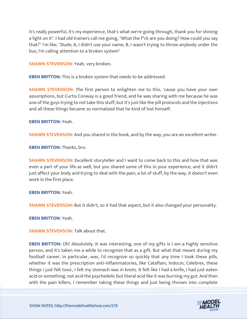it's really powerful, it's my experience, that's what we're going through, thank you for shining a light on it". I had old trainers call me going, "What the f\*ck are you doing? How could you say that?" I'm like, "Dude; A, I didn't use your name, B, I wasn't trying to throw anybody under the bus, I'm calling attention to a broken system"

**SHAWN STEVENSON:** Yeah, very broken.

**EBEN BRITTON:** This is a broken system that needs to be addressed.

**SHAWN STEVENSON:** The first person to enlighten me to this, 'cause you have your own assumptions, but Curtis Conway is a good friend, and he was sharing with me because he was one of the guys trying to not take this stuff, but it's just like the pill protocols and the injections and all these things became so normalized that he kind of lost himself.

**EBEN BRITTON:** Yeah.

**SHAWN STEVENSON:** And you shared in the book, and by the way, you are an excellent writer.

**EBEN BRITTON:** Thanks, bro.

**SHAWN STEVENSON:** Excellent storyteller and I want to come back to this and how that was even a part of your life as well, but you shared some of this in your experience, and it didn't just affect your body and trying to deal with the pain, a lot of stuff, by the way, it doesn't even work in the first place.

**EBEN BRITTON:** Yeah.

**SHAWN STEVENSON:** But it didn't, so it had that aspect, but it also changed your personality.

**EBEN BRITTON:** Yeah.

**SHAWN STEVENSON: Talk about that.** 

**EBEN BRITTON:** Oh! Absolutely. It was interesting, one of my gifts is I am a highly sensitive person, and it's taken me a while to recognize that as a gift. But what that meant during my football career, in particular, was, I'd recognize so quickly that any time I took these pills, whether it was the prescription anti-inflammatories, like Cataflam, Indocin, Celebrex, these things I just felt toxic, I felt my stomach was in knots. It felt like I had a knife, I had just eaten acid or something, not acid the psychedelic but literal acid like it was burning my gut. And then [with the pain killers, I remember taking these things and just being thrown into complete](https://themodelhealthshow.com/eben-britton/) 

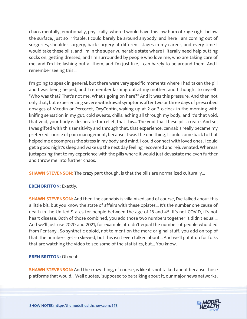chaos mentally, emotionally, physically, where I would have this low hum of rage right below the surface, just so irritable, I could barely be around anybody, and here I am coming out of surgeries, shoulder surgery, back surgery at different stages in my career, and every time I would take these pills, and I'm in the super vulnerable state where I literally need help putting socks on, getting dressed, and I'm surrounded by people who love me, who are taking care of me, and I'm like lashing out at them, and I'm just like, I can barely to be around them. And I remember seeing this...

I'm going to speak in general, but there were very specific moments where I had taken the pill and I was being helped, and I remember lashing out at my mother, and I thought to myself, "Who was that? That's not me. What's going on here?" And it was this pressure. And then not only that, but experiencing severe withdrawal symptoms after two or three days of prescribed dosages of Vicodin or Percocet, OxyContin, waking up at 2 or 3 o'clock in the morning with knifing sensation in my gut, cold sweats, chills, aching all through my body, and it's that void, that void, your body is desperate for relief, that this... The void that these pills create. And so, I was gifted with this sensitivity and through that, that experience, cannabis really became my preferred source of pain management, because it was the one thing, I could come back to that helped me decompress the stress in my body and mind, I could connect with loved ones, I could get a good night's sleep and wake up the next day feeling recovered and rejuvenated. Whereas juxtaposing that to my experience with the pills where it would just devastate me even further and throw me into further chaos.

**SHAWN STEVENSON:** The crazy part though, is that the pills are normalized culturally...

# **EBEN BRITTON: Exactly.**

**SHAWN STEVENSON:** And then the cannabis is villainized, and of course, I've talked about this a little bit, but you know the state of affairs with these opiates... It's the number one cause of death in the United States for people between the age of 18 and 45. It's not COVID, it's not heart disease. Both of those combined, you add those two numbers together it didn't equal... And we'll just use 2020 and 2021, for example, it didn't equal the number of people who died from Fentanyl. So synthetic opioid, not to mention the more original stuff, you add on top of that, the numbers get so skewed, but this isn't even talked about... And we'll put it up for folks that are watching the video to see some of the statistics, but... You know.

# **EBEN BRITTON:** Oh yeah.

**SHAWN STEVENSON:** And the crazy thing, of course, is like it's not talked about because those platforms that would... Well quotes, "supposed to be talking about it, our major news networks,

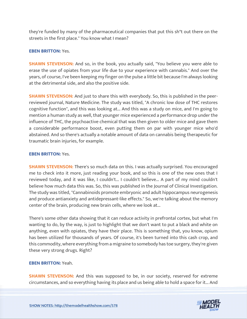they're funded by many of the pharmaceutical companies that put this sh\*t out there on the streets in the first place." You know what I mean?

# **EBEN BRITTON:** Yes.

**SHAWN STEVENSON:** And so, in the book, you actually said, "You believe you were able to erase the use of opiates from your life due to your experience with cannabis." And over the years, of course, I've been keeping my finger on the pulse a little bit because I'm always looking at the detrimental side, and also the positive side.

**SHAWN STEVENSON:** And just to share this with everybody. So, this is published in the peerreviewed journal, Nature Medicine. The study was titled, "A chronic low dose of THC restores cognitive function", and this was looking at... And this was a study on mice, and I'm going to mention a human study as well, that younger mice experienced a performance drop under the influence of THC, the psychoactive chemical that was then given to older mice and gave them a considerable performance boost, even putting them on par with younger mice who'd abstained. And so there's actually a notable amount of data on cannabis being therapeutic for traumatic brain injuries, for example.

#### **EBEN BRITTON:** Yes.

**SHAWN STEVENSON:** There's so much data on this. I was actually surprised. You encouraged me to check into it more, just reading your book, and so this is one of the new ones that I reviewed today, and it was like, I couldn't... I couldn't believe... A part of my mind couldn't believe how much data this was. So, this was published in the Journal of Clinical Investigation. The study was titled, "Cannabinoids promote embryonic and adult hippocampus neurogenesis and produce antianxiety and antidepressant-like effects." So, we're talking about the memory center of the brain, producing new brain cells, where we look at...

There's some other data showing that it can reduce activity in prefrontal cortex, but what I'm wanting to do, by the way, is just to highlight that we don't want to put a black and white on anything, even with opiates, they have their place. This is something that, you know, opium has been utilized for thousands of years. Of course, it's been turned into this cash crop, and this commodity, where everything from a migraine to somebody has toe surgery, they're given these very strong drugs. Right?

#### **EBEN BRITTON:** Yeah.

**SHAWN STEVENSON:** And this was supposed to be, in our society, reserved for extreme [circumstances, and so everything having its place and us being able to hold a space for it... And](https://themodelhealthshow.com/eben-britton/)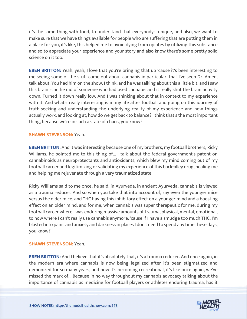it's the same thing with food, to understand that everybody's unique, and also, we want to make sure that we have things available for people who are suffering that are putting them in a place for you, it's like, this helped me to avoid dying from opiates by utilizing this substance and so to appreciate your experience and your story and also know there's some pretty solid science on it too.

**EBEN BRITTON:** Yeah, yeah, I love that you're bringing that up 'cause it's been interesting to me seeing some of the stuff come out about cannabis in particular, that I've seen Dr. Amen, talk about. You had him on the show, I think, and he was talking about this a little bit, and I saw this brain scan he did of someone who had used cannabis and it really shut the brain activity down. Turned it down really low. And I was thinking about that in context to my experience with it. And what's really interesting is in my life after football and going on this journey of truth-seeking and understanding the underlying reality of my experience and how things actually work, and looking at, how do we get back to balance? I think that's the most important thing, because we're in such a state of chaos, you know?

#### **SHAWN STEVENSON:** Yeah.

**EBEN BRITTON:** And it was interesting because one of my brothers, my football brothers, Ricky Williams, he pointed me to this thing of... I talk about the federal government's patent on cannabinoids as neuroprotectants and antioxidants, which blew my mind coming out of my football career and legitimizing or validating my experience of this back-alley drug, healing me and helping me rejuvenate through a very traumatized state.

Ricky Williams said to me once, he said, in Ayurveda, in ancient Ayurveda, cannabis is viewed as a trauma reducer. And so when you take that into account of, say even the younger mice versus the older mice, and THC having this inhibitory effect on a younger mind and a boosting effect on an older mind, and for me, when cannabis was super therapeutic for me, during my football career where I was enduring massive amounts of trauma, physical, mental, emotional, to now where I can't really use cannabis anymore, 'cause if I have a smudge too much THC, I'm blasted into panic and anxiety and darkness in places I don't need to spend any time these days, you know?

#### **SHAWN STEVENSON:** Yeah.

**EBEN BRITTON:** And I believe that it's absolutely that, it's a trauma reducer. And once again, in the modern era where cannabis is now being legalized after it's been stigmatized and demonized for so many years, and now it's becoming recreational, it's like once again, we've missed the mark of... Because in no way throughout my cannabis advocacy talking about the [importance of cannabis as medicine for football players or athletes enduring trauma, has it](https://themodelhealthshow.com/eben-britton/)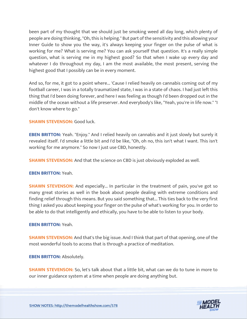been part of my thought that we should just be smoking weed all day long, which plenty of people are doing thinking, "Oh, this is helping." But part of the sensitivity and this allowing your Inner Guide to show you the way, it's always keeping your finger on the pulse of what is working for me? What is serving me? You can ask yourself that question. It's a really simple question, what is serving me in my highest good? So that when I wake up every day and whatever I do throughout my day, I am the most available, the most present, serving the highest good that I possibly can be in every moment.

And so, for me, it got to a point where... 'Cause I relied heavily on cannabis coming out of my football career, I was in a totally traumatized state, I was in a state of chaos. I had just left this thing that I'd been doing forever, and here I was feeling as though I'd been dropped out in the middle of the ocean without a life preserver. And everybody's like, "Yeah, you're in life now." "I don't know where to go."

# **SHAWN STEVENSON: Good luck.**

**EBEN BRITTON:** Yeah. "Enjoy." And I relied heavily on cannabis and it just slowly but surely it revealed itself. I'd smoke a little bit and I'd be like, "Oh, oh no, this isn't what I want. This isn't working for me anymore." So now I just use CBD, honestly.

**SHAWN STEVENSON:** And that the science on CBD is just obviously exploded as well.

# **EBEN BRITTON:** Yeah.

**SHAWN STEVENSON:** And especially... In particular in the treatment of pain, you've got so many great stories as well in the book about people dealing with extreme conditions and finding relief through this means. But you said something that... This ties back to the very first thing I asked you about keeping your finger on the pulse of what's working for you. In order to be able to do that intelligently and ethically, you have to be able to listen to your body.

# **EBEN BRITTON:** Yeah.

**SHAWN STEVENSON:** And that's the big issue. And I think that part of that opening, one of the most wonderful tools to access that is through a practice of meditation.

**EBEN BRITTON: Absolutely.** 

**SHAWN STEVENSON:** So, let's talk about that a little bit, what can we do to tune in more to our inner guidance system at a time when people are doing anything but.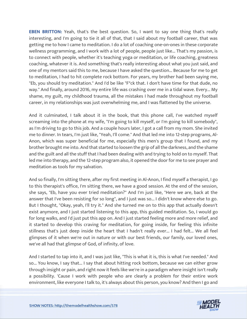**EBEN BRITTON:** Yeah, that's the best question. So, I want to say one thing that's really interesting, and I'm going to tie it all of that, that I said about my football career, that was getting me to how I came to meditation. I do a lot of coaching one-on-ones in these corporate wellness programming, and I work with a lot of people, people just like... That's my passion, is to connect with people, whether it's teaching yoga or meditation, or life coaching, greatness coaching, whatever it is. And something that's really interesting about what you just said, and one of my mentors said this to me, because I have asked the question... Because for me to get to meditation, I had to hit complete rock bottom. For years, my brother had been saying me, "Eb, you should try meditation." And I'd be like "F\*ck that. I don't have time for that dude, no way." And finally, around 2016, my entire life was crashing over me in a tidal wave. Every... My shame, my guilt, my childhood trauma, all the mistakes I had made throughout my football career, in my relationships was just overwhelming me, and I was flattened by the universe.

And it culminated, I talk about it in the book, that this phone call, I've watched myself screaming into the phone at my wife, "I'm going to kill myself, or I'm going to kill somebody", as I'm driving to go to this job. And a couple hours later, I got a call from my mom. She invited me to dinner. In tears, I'm just like, "Yeah, I'll come." And that led me into 12-step programs, Al-Anon, which was super beneficial for me, especially this men's group that I found, and my brother brought me into. And that started to loosen the grip of all the darkness, and the shame and the guilt and all the stuff that I had been dealing with and trying to hold on to myself. That led me into therapy, and the 12-step program also, it opened the door for me to see prayer and meditation as tools for my salvation.

And so finally, I'm sitting there, after my first meeting in Al-Anon, I find myself a therapist, I go to this therapist's office, I'm sitting there, we have a good session. At the end of the session, she says, "Eb, have you ever tried meditation?" And I'm just like, "Here we are, back at the answer that I've been resisting for so long", and I just was so... I didn't know where else to go. But I thought, "Okay, yeah, I'll try it." And she turned me on to this app that actually doesn't exist anymore, and I just started listening to this app, this guided meditation. So, I would go for long walks, and I'd just put this app on. And I just started feeling more and more relief, and it started to develop this craving for meditation, for going inside, for feeling this infinite stillness that's just deep inside the heart that I hadn't really ever... I had felt... We all feel glimpses of it when we're out in nature or with our best friends, our family, our loved ones, we've all had that glimpse of God, of infinity, of love.

And I started to tap into it, and I was just like, "This is what it is, this is what I've needed." And so... You know, I say that... I say that about hitting rock bottom, because we can either grow through insight or pain, and right now it feels like we're in a paradigm where insight isn't really a possibility. 'Cause I work with people who are clearly a problem for their entire work [environment, like everyone I talk to, it](https://themodelhealthshow.com/eben-britton/)'[s always about this person, you know? And then I go and](https://themodelhealthshow.com/eben-britton/)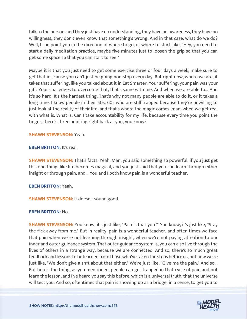talk to the person, and they just have no understanding, they have no awareness, they have no willingness, they don't even know that something's wrong. And in that case, what do we do? Well, I can point you in the direction of where to go, of where to start, like, "Hey, you need to start a daily meditation practice, maybe five minutes just to loosen the grip so that you can get some space so that you can start to see."

Maybe it is that you just need to get some exercise three or four days a week, make sure to get that in, 'cause you can't just be going non-stop every day. But right now, where we are, it takes that suffering, like you talked about it in Eat Smarter. Your suffering, your pain was your gift. Your challenges to overcome that, that's same with me. And when we are able to... And it's so hard. It's the hardest thing. That's why not many people are able to do it, or it takes a long time. I know people in their 50s, 60s who are still trapped because they're unwilling to just look at the reality of their life, and that's where the magic comes, man, when we get real with what is. What is. Can I take accountability for my life, because every time you point the finger, there's three pointing right back at you, you know?

#### **SHAWN STEVENSON:** Yeah.

# **EBEN BRITTON: It's real.**

**SHAWN STEVENSON:** That's facts. Yeah. Man, you said something so powerful, if you just get this one thing, like life becomes magical, and you just said that you can learn through either insight or through pain, and... You and I both know pain is a wonderful teacher.

# **EBEN BRITTON:** Yeah.

**SHAWN STEVENSON: It doesn't sound good.** 

# **EBEN BRITTON:** No.

**SHAWN STEVENSON:** You know, it's just like, "Pain is that you?" You know, it's just like, "Stay the f\*ck away from me." But in reality, pain is a wonderful teacher, and often times we face that pain when we're not learning through insight, when we're not paying attention to our inner and outer guidance system. That outer guidance system is, you can also live through the lives of others in a strange way, because we are connected. And so, there's so much great feedback and lessons to be learned from those who've taken the steps before us, but now we're just like, "We don't give a sh\*t about that either." We're just like, "Give me the pain." And so... But here's the thing, as you mentioned, people can get trapped in that cycle of pain and not learn the lesson, and I've heard you say this before, which is a universal truth, that the universe [will test you. And so, oftentimes that pain is showing up as a bridge, in a sense, to get you to](https://themodelhealthshow.com/eben-britton/) 

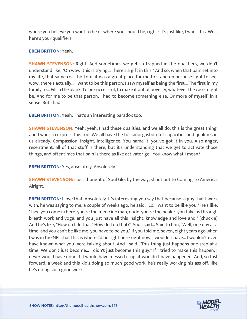where you believe you want to be or where you should be, right? It's just like, I want this. Well, here's your qualifiers.

# **EBEN BRITTON:** Yeah.

**SHAWN STEVENSON:** Right. And sometimes we get so trapped in the qualifiers, we don't understand like, "Oh wow, this is trying... There's a gift in this." And so, when that pain set into my life, that same rock bottom, it was a great place for me to stand on because I got to see, wow, there's actually... I want to be this person; I saw myself as being the first... The first in my family to... Fill in the blank. To be successful, to make it out of poverty, whatever the case might be. And for me to be that person, I had to become something else. Or more of myself, in a sense. But I had...

**EBEN BRITTON:** Yeah. That's an interesting paradox too.

**SHAWN STEVENSON:** Yeah, yeah. I had these qualities, and we all do, this is the great thing, and I want to express this too. We all have the full smorgasbord of capacities and qualities in us already. Compassion, insight, intelligence. You name it, you've got it in you. Also anger, resentment, all of that stuff is there, but it's understanding that we get to activate those things, and oftentimes that pain is there as like activator gel. You know what I mean?

**EBEN BRITTON:** Yes, absolutely. Absolutely.

**SHAWN STEVENSON:** I just thought of Soul Glo, by the way, shout out to Coming To America. Alright.

**EBEN BRITTON:** I love that. Absolutely. It's interesting you say that because, a guy that I work with, he was saying to me, a couple of weeks ago, he said, "Eb, I want to be like you." He's like, "I see you come in here, you're the medicine man, dude, you're the healer, you take us through breath work and yoga, and you just have all this insight, knowledge and love and." [chuckle] And he's like, "How do I do that? How do I do that?" And I said... Said to him, "Well, one day at a time, and you can't be like me, you have to be you." If you told me, seven, eight years ago when I was in the NFL that this is where I'd be right here right now, I wouldn't have... I wouldn't even have known what you were talking about. And I said, "This thing just happens one step at a time. We don't just become... I didn't just become this guy." If I tried to make this happen, I never would have done it, I would have messed it up, it wouldn't have happened. And, so fast forward, a week and this kid's doing so much good work, he's really working his ass off, like he's doing such good work.

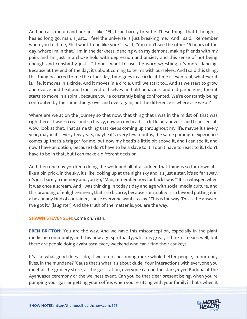And he calls me up and he's just like, "Eb, I can barely breathe. These things that I thought I healed long go, man, I just... I feel the universe is just breaking me." And I said, "Remember when you told me, Eb, I want to be like you?" I said, "You don't see the other 16 hours of the day, where I'm in that." I'm in the darkness, dancing with my demons, making friends with my pain, and I'm just in a choke hold with depression and anxiety and this sense of not being enough and constantly just... " I don't want to use the word wrestling, it's more dancing. Because at the end of the day, it's about coming to terms with ourselves. And I said this thing, this thing occurred to me the other day, time goes in a circle, if time is even real, whatever it is, life, it moves in a circle. And it moves in a circle, until we start to... And as we start to grow and evolve and heal and transcend old selves and old behaviors and old paradigms, then it starts to move in a spiral, because you're constantly being confronted. We're constantly being confronted by the same things over and over again, but the difference is where are we at?

Where are we at on the journey so that now, that thing that I was in the midst of, that was right here, it was so real and so heavy, now on my head is a little bit above it, and I can see, oh wow, look at that. That same thing that keeps coming up throughout my life, maybe it's every year, maybe it's every few years, maybe it's every few months, the same paradigm experience comes up that's a trigger for me, but now my head's a little bit above it, and I can see it, and now I have an option, because I don't have to be a slave to it, I don't have to react to it, I don't have to be in that, but I can make a different decision.

And then one day you keep doing the work and all of a sudden that thing is so far down, it's like a pin prick, in the sky, it's like looking up at the night sky and it's just a star, it's so far away, it's just barely a memory and you go, "Man, remember how far back I was?" It's a whisper, when it was once a scream. And I was thinking in today's day and age with social media culture, and this branding of enlightenment, that's so bizarre, because spirituality is so beyond putting it in a box or any kind of container, 'cause everyone wants to say, "This is the way. This is the answer, I've got it." [laughter] And the truth of the matter is, you are the way.

**SHAWN STEVENSON:** Come on. Yeah.

**EBEN BRITTON:** You are the way. And we have this misconception, especially in the plant medicine community, and this new age spirituality, which is great, I think it means well, but there are people doing ayahuasca every weekend who can't find their car keys.

It's like what good does it do, if we're not becoming more whole better people, in our daily lives, in the mundane? 'Cause that's what it's about dude. Your interactions with everyone you meet at the grocery store, at the gas station, everyone can be the starry-eyed Buddha at the Ayahuasca ceremony or the wellness event. Can you be that clear present being, when you're [pumping your gas, or getting your coffee, when you](https://themodelhealthshow.com/eben-britton/)'[re sitting with your family? That](https://themodelhealthshow.com/eben-britton/)'[s when it](https://themodelhealthshow.com/eben-britton/) 

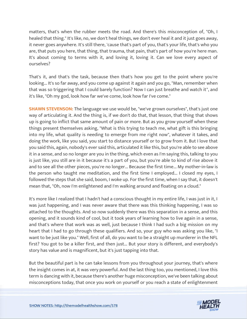matters, that's when the rubber meets the road. And there's this misconception of, "Oh, I healed that thing." It's like, no, we don't heal things, we don't ever heal it and it just goes away, it never goes anywhere. It's still there, 'cause that's part of you, that's your life, that's who you are, that puts you here, that thing, that trauma, that pain, that's part of how you're here man. It's about coming to terms with it, and loving it, loving it. Can we love every aspect of ourselves?

That's it, and that's the task, because then that's how you get to the point where you're looking... It's so far away, and you come up against it again and you go, "Man, remember when that was so triggering that I could barely function? Now I can just breathe and watch it", and it's like, "Oh my god, look how far we've come, look how far I've come."

**SHAWN STEVENSON:** The language we use would be, "we've grown ourselves", that's just one way of articulating it. And the thing is, if we don't do that, that lesson, that thing that shows up is going to inflict that same amount of pain or more. But as you grow yourself when these things present themselves asking, "What is this trying to teach me, what gift is this bringing into my life, what quality is needing to emerge from me right now", whatever it takes, and doing the work, like you said, you start to distance yourself or to grow from it. But I love that you said this, again, nobody's ever said this, articulated it like this, but you're able to see above it in a sense, and so no longer are you in the thing, which even as I'm saying this, talking to you is just like, you still are in it because it's a part of you, but you're able to kind of rise above it and to see all the other pieces, you're no longer... Because the first time... My mother-in-law is the person who taught me meditation, and the first time I employed... I closed my eyes, I followed the steps that she said, boom, I woke up. For the first time, when I say that, it doesn't mean that, "Oh, now I'm enlightened and I'm walking around and floating on a cloud."

It's more like I realized that I hadn't had a conscious thought in my entire life, I was just in it, I was just happening, and I was never aware that there was this thinking happening, I was so attached to the thoughts. And so now suddenly there was this separation in a sense, and this opening, and it sounds kind of cool, but it took years of learning how to live again in a sense, and that's where that work was as well, just because I think I had such a big mission on my heart that I had to go through these qualifiers. And so, your guy who was asking you like, "I want to be just like you." Well, first of all, do you want to be a straight up murderer in the NFL first? You got to be a killer first, and then just... But your story is different, and everybody's story has value and is magnificent, but it's just tapping into that.

But the beautiful part is he can take lessons from you throughout your journey, that's where the insight comes in at, it was very powerful. And the last thing too, you mentioned, I love this term is dancing with it, because there's another huge misconception, we've been talking about [misconceptions today, that once you work on yourself or you reach a state of enlightenment](https://themodelhealthshow.com/eben-britton/)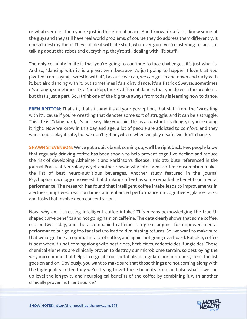or whatever it is, then you're just in this eternal peace. And I know for a fact, I know some of the guys and they still have real world problems, of course they do address them differently, it doesn't destroy them. They still deal with life stuff, whatever guru you're listening to, and I'm talking about the robes and everything, they're still dealing with life stuff.

The only certainty in life is that you're going to continue to face challenges, it's just what is. And so, "dancing with it" is a great term because it's just going to happen. I love that you pivoted from saying, "wrestle with it", because we can, we can get in and down and dirty with it, but also dancing with it, but sometimes it's a dirty dance, it's a Patrick Swayze, sometimes it's a tango, sometimes it's a Nino Pop, there's different dances that you do with the problems, but that's just a part. So, I think one of the big take aways from today is learning how to dance.

**EBEN BRITTON:** That's it, that's it. And it's all your perception, that shift from the "wrestling with it", 'cause if you're wrestling that denotes some sort of struggle, and it can be a struggle. This life is f\*cking hard, it's not easy, like you said, this is a constant challenge, if you're doing it right. Now we know in this day and age, a lot of people are addicted to comfort, and they want to just play it safe, but we don't get anywhere when we play it safe, we don't change.

**SHAWN STEVENSON:** We've got a quick break coming up, we'll be right back. Few people know that regularly drinking coffee has been shown to help prevent cognitive decline and reduce the risk of developing Alzheimer's and Parkinson's disease. This attribute referenced in the journal Practical Neurology is yet another reason why intelligent coffee consumption makes the list of best neuro-nutritious beverages. Another study featured in the journal Psychopharmacology uncovered that drinking coffee has some remarkable benefits on mental performance. The research has found that intelligent coffee intake leads to improvements in alertness, improved reaction times and enhanced performance on cognitive vigilance tasks, and tasks that involve deep concentration.

Now, why am I stressing intelligent coffee intake? This means acknowledging the true Ushaped curve benefits and not going ham on caffeine. The data clearly shows that some coffee, cup or two a day, and the accompanied caffeine is a great adjunct for improved mental performance but going too far starts to lead to diminishing returns. So, we want to make sure that we're getting an optimal intake of coffee, and again, not going overboard. But also, coffee is best when it's not coming along with pesticides, herbicides, rodenticides, fungicides. These chemical elements are clinically proven to destroy our microbiome terrain, so destroying the very microbiome that helps to regulate our metabolism, regulate our immune system, the list goes on and on. Obviously, you want to make sure that those things are not coming along with the high-quality coffee they we're trying to get these benefits from, and also what if we can up level the longevity and neurological benefits of the coffee by combining it with another [clinically proven nutrient source?](https://themodelhealthshow.com/eben-britton/)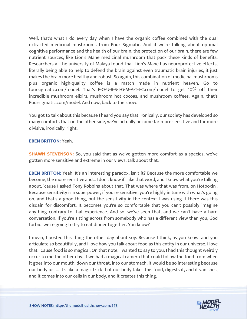Well, that's what I do every day when I have the organic coffee combined with the dual extracted medicinal mushrooms from Four Sigmatic. And if we're talking about optimal cognitive performance and the health of our brain, the protection of our brain, there are few nutrient sources, like Lion's Mane medicinal mushroom that pack these kinds of benefits. Researchers at the university of Malaya found that Lion's Mane has neuroprotective effects, literally being able to help to defend the brain against even traumatic brain injuries, it just makes the brain more healthy and robust. So again, this combination of medicinal mushrooms plus organic high-quality coffee is a match made in nutrient heaven. Go to foursigmatic.com/model. That's F-O-U-R-S-I-G-M-A-T-I-C.com/model to get 10% off their incredible mushroom elixirs, mushroom hot cocoas, and mushroom coffees. Again, that's Foursigmatic.com/model. And now, back to the show.

You got to talk about this because I heard you say that ironically, our society has developed so many comforts that on the other side, we've actually become far more sensitive and far more divisive, ironically, right.

#### **EBEN BRITTON:** Yeah.

**SHAWN STEVENSON:** So, you said that as we've gotten more comfort as a species, we've gotten more sensitive and extreme in our views, talk about that.

**EBEN BRITTON:** Yeah. It's an interesting paradox, isn't it? Because the more comfortable we become, the more sensitive and... I don't know if I like that word, and I know what you're talking about, 'cause I asked Tony Robbins about that. That was where that was from, on Hotboxin'. Because sensitivity is a superpower, if you're sensitive, you're highly in tune with what's going on, and that's a good thing, but the sensitivity in the context I was using it there was this disdain for discomfort. It becomes you're so comfortable that you can't possibly imagine anything contrary to that experience. And so, we've seen that, and we can't have a hard conversation. If you're sitting across from somebody who has a different view than you, God forbid, we're going to try to eat dinner together. You know?

I mean, I posted this thing the other day about soy. Because I think, as you know, and you articulate so beautifully, and I love how you talk about food as this entity in our universe. I love that. 'Cause food is so magical. On that note, I wanted to say to you, I had this thought weirdly occur to me the other day, if we had a magical camera that could follow the food from when it goes into our mouth, down our throat, into our stomach, it would be so interesting because our body just... It's like a magic trick that our body takes this food, digests it, and it vanishes, and it comes into our cells in our body, and it creates this thing.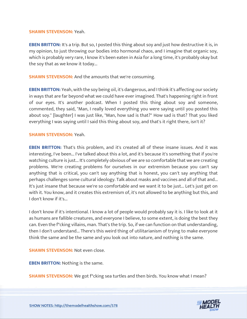#### **SHAWN STEVENSON:** Yeah.

**EBEN BRITTON:** It's a trip. But so, I posted this thing about soy and just how destructive it is, in my opinion, to just throwing our bodies into hormonal chaos, and I imagine that organic soy, which is probably very rare, I know it's been eaten in Asia for a long time, it's probably okay but the soy that as we know it today...

**SHAWN STEVENSON:** And the amounts that we're consuming.

**EBEN BRITTON:** Yeah, with the soy being oil, it's dangerous, and I think it's affecting our society in ways that are far beyond what we could have ever imagined. That's happening right in front of our eyes. It's another podcast. When I posted this thing about soy and someone, commented, they said, "Man, I really loved everything you were saying until you posted this about soy." [laughter] I was just like, "Man, how sad is that?" How sad is that? That you liked everything I was saying until I said this thing about soy, and that's it right there, isn't it?

#### **SHAWN STEVENSON:** Yeah.

**EBEN BRITTON:** That's this problem, and it's created all of these insane issues. And it was interesting, I've been... I've talked about this a lot, and it's because it's something that if you're watching culture is just... It's completely obvious of we are so comfortable that we are creating problems. We're creating problems for ourselves in our extremism because you can't say anything that is critical, you can't say anything that is honest, you can't say anything that perhaps challenges some cultural ideology. Talk about masks and vaccines and all of that and... It's just insane that because we're so comfortable and we want it to be just... Let's just get on with it. You know, and it creates this extremism of, it's not allowed to be anything but this, and I don't know if it's...

I don't know if it's intentional. I know a lot of people would probably say it is. I like to look at it as humans are fallible creatures, and everyone I believe, to some extent, is doing the best they can. Even the f\*cking villains, man. That's the trip. So, if we can function on that understanding, then I don't understand... There's this weird thing of utilitarianism of trying to make everyone think the same and be the same and you look out into nature, and nothing is the same.

**SHAWN STEVENSON:** Not even close.

**EBEN BRITTON:** Nothing is the same.

**SHAWN STEVENSON:** We got f\*cking sea turtles and then birds. You know what I mean?

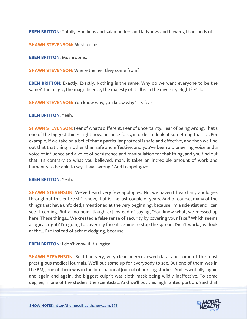**EBEN BRITTON:** Totally. And lions and salamanders and ladybugs and flowers, thousands of...

**SHAWN STEVENSON:** Mushrooms.

**EBEN BRITTON:** Mushrooms.

**SHAWN STEVENSON:** Where the hell they come from?

**EBEN BRITTON:** Exactly. Exactly. Nothing is the same. Why do we want everyone to be the same? The magic, the magnificence, the majesty of it all is in the diversity. Right? F\*ck.

**SHAWN STEVENSON:** You know why, you know why? It's fear.

**EBEN BRITTON:** Yeah.

**SHAWN STEVENSON:** Fear of what's different. Fear of uncertainty. Fear of being wrong. That's one of the biggest things right now, because folks, in order to look at something that is... For example, if we take on a belief that a particular protocol is safe and effective, and then we find out that that thing is other than safe and effective, and you've been a pioneering voice and a voice of influence and a voice of persistence and manipulation for that thing, and you find out that it's contrary to what you believed, man, it takes an incredible amount of work and humanity to be able to say, "I was wrong." And to apologize.

#### **EBEN BRITTON:** Yeah.

**SHAWN STEVENSON:** We've heard very few apologies. No, we haven't heard any apologies throughout this entire sh\*t show, that is the last couple of years. And of course, many of the things that have unfolded, I mentioned at the very beginning, because I'm a scientist and I can see it coming. But at no point [laughter] instead of saying, "You know what, we messed up here. These things... We created a false sense of security by covering your face." Which seems a logical, right? I'm going to cover my face it's going to stop the spread. Didn't work. Just look at the... But instead of acknowledging, because...

**EBEN BRITTON:** I don't know if it's logical.

**SHAWN STEVENSON:** So, I had very, very clear peer-reviewed data, and some of the most prestigious medical journals. We'll put some up for everybody to see. But one of them was in the BMJ, one of them was in the International Journal of nursing studies. And essentially, again and again and again, the biggest culprit was cloth mask being wildly ineffective. To some [degree, in one of the studies, the scientists... And we](https://themodelhealthshow.com/eben-britton/)'[ll put this highlighted portion. Said that](https://themodelhealthshow.com/eben-britton/)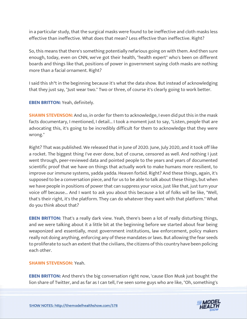in a particular study, that the surgical masks were found to be ineffective and cloth masks less effective than ineffective. What does that mean? Less effective than ineffective. Right?

So, this means that there's something potentially nefarious going on with them. And then sure enough, today, even on CNN, we've got their health, "health expert" who's been on different boards and things like that, positions of power in government saying cloth masks are nothing more than a facial ornament. Right?

I said this sh\*t in the beginning because it's what the data show. But instead of acknowledging that they just say, "Just wear two." Two or three, of course it's clearly going to work better.

**EBEN BRITTON:** Yeah, definitely.

**SHAWN STEVENSON:** And so, in order for them to acknowledge, I even did put this in the mask facts documentary, I mentioned, I detail... I took a moment just to say, "Listen, people that are advocating this, it's going to be incredibly difficult for them to acknowledge that they were wrong."

Right? That was published. We released that in June of 2020. June, July 2020, and it took off like a rocket. The biggest thing I've ever done, but of course, censored as well. And nothing I just went through, peer-reviewed data and pointed people to the years and years of documented scientific proof that we have on things that actually work to make humans more resilient, to improve our immune systems, yadda yadda. Heaven forbid. Right? And these things, again, it's supposed to be a conversation piece, and for us to be able to talk about these things, but when we have people in positions of power that can suppress your voice, just like that, just turn your voice off because... And I want to ask you about this because a lot of folks will be like, "Well, that's their right, it's the platform. They can do whatever they want with that platform." What do you think about that?

**EBEN BRITTON:** That's a really dark view. Yeah, there's been a lot of really disturbing things, and we were talking about it a little bit at the beginning before we started about fear being weaponized and essentially, most government institutions, law enforcement, policy makers really not doing anything, enforcing any of these mandates or laws. But allowing the fear seeds to proliferate to such an extent that the civilians, the citizens of this country have been policing each other.

# **SHAWN STEVENSON:** Yeah.

**EBEN BRITTON:** And there's the big conversation right now, 'cause Elon Musk just bought the [lion share of Twitter, and as far as I can tell, I](https://themodelhealthshow.com/eben-britton/)'[ve seen some guys who are like, "Oh, something](https://themodelhealthshow.com/eben-britton/)'[s](https://themodelhealthshow.com/eben-britton/)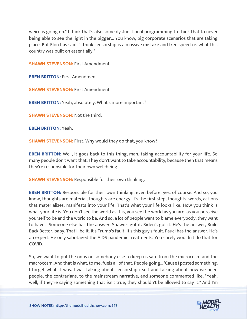weird is going on." I think that's also some dysfunctional programming to think that to never being able to see the light in the bigger... You know, big corporate scenarios that are taking place. But Elon has said, "I think censorship is a massive mistake and free speech is what this country was built on essentially."

**SHAWN STEVENSON:** First Amendment.

**EBEN BRITTON:** First Amendment.

**SHAWN STEVENSON: First Amendment.** 

**EBEN BRITTON:** Yeah, absolutely. What's more important?

**SHAWN STEVENSON:** Not the third.

**EBEN BRITTON:** Yeah.

**SHAWN STEVENSON: First. Why would they do that, you know?** 

**EBEN BRITTON:** Well, it goes back to this thing, man, taking accountability for your life. So many people don't want that. They don't want to take accountability, because then that means they're responsible for their own well-being.

**SHAWN STEVENSON:** Responsible for their own thinking.

**EBEN BRITTON:** Responsible for their own thinking, even before, yes, of course. And so, you know, thoughts are material, thoughts are energy. It's the first step, thoughts, words, actions that materializes, manifests into your life. That's what your life looks like. How you think is what your life is. You don't see the world as it is, you see the world as you are, as you perceive yourself to be and the world to be. And so, a lot of people want to blame everybody, they want to have... Someone else has the answer. Shawn's got it. Biden's got it. He's the answer, Build Back Better, baby. That'll be it. It's Trump's fault. It's this guy's fault. Fauci has the answer. He's an expert. He only sabotaged the AIDS pandemic treatments. You surely wouldn't do that for COVID.

So, we want to put the onus on somebody else to keep us safe from the microcosm and the macrocosm. And that is what, to me, fuels all of that. People going... 'Cause I posted something. I forget what it was. I was talking about censorship itself and talking about how we need people, the contrarians, to the mainstream narrative, and someone commented like, "Yeah, [well, if they](https://themodelhealthshow.com/eben-britton/)'[re saying something that isn](https://themodelhealthshow.com/eben-britton/)'[t true, they shouldn](https://themodelhealthshow.com/eben-britton/)'[t be allowed to say it." And I](https://themodelhealthshow.com/eben-britton/)'[m](https://themodelhealthshow.com/eben-britton/) 

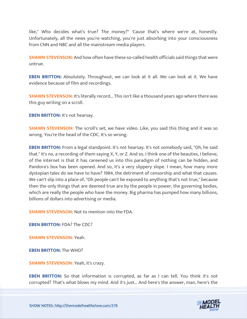like," Who decides what's true? The money?" 'Cause that's where we're at, honestly. Unfortunately, all the news you're watching, you're just absorbing into your consciousness from CNN and NBC and all the mainstream media players.

**SHAWN STEVENSON:** And how often have these so-called health officials said things that were untrue.

**EBEN BRITTON:** Absolutely. Throughout, we can look at it all. We can look at it. We have evidence because of film and recordings.

**SHAWN STEVENSON:** It's literally record... This isn't like a thousand years ago where there was this guy writing on a scroll.

**EBEN BRITTON:** It's not hearsay.

**SHAWN STEVENSON:** The scroll's set, we have video. Like, you said this thing and it was so wrong. You're the head of the CDC. It's so wrong.

**EBEN BRITTON:** From a legal standpoint. It's not hearsay. It's not somebody said, "Oh, he said that." It's no, a recording of them saying X, Y, or Z. And so, I think one of the beauties, I believe, of the internet is that it has careened us into this paradigm of nothing can be hidden, and Pandora's box has been opened. And so, it's a very slippery slope. I mean, how many more dystopian tales do we have to have? 1984, the detriment of censorship and what that causes. We can't slip into a place of, "Oh people can't be exposed to anything that's not true," because then the only things that are deemed true are by the people in power, the governing bodies, which are really the people who have the money. Big pharma has pumped how many billions, billions of dollars into advertising or media.

**SHAWN STEVENSON:** Not to mention into the FDA.

**EBEN BRITTON:** FDA? The CDC?

**SHAWN STEVENSON:** Yeah.

**EBEN BRITTON:** The WHO?

**SHAWN STEVENSON: Yeah, it's crazy.** 

**EBEN BRITTON:** So that information is corrupted, as far as I can tell. You think it's not [corrupted? That](https://themodelhealthshow.com/eben-britton/)'[s what blows my mind. And it](https://themodelhealthshow.com/eben-britton/)'[s just... And here](https://themodelhealthshow.com/eben-britton/)'[s the answer, man, here](https://themodelhealthshow.com/eben-britton/)'[s the](https://themodelhealthshow.com/eben-britton/) 



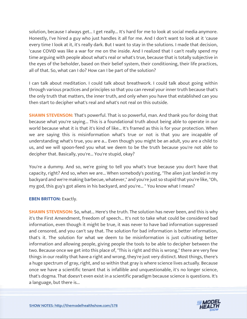solution, because I always get... I get really... It's hard for me to look at social media anymore. Honestly, I've hired a guy who just handles it all for me. And I don't want to look at it 'cause every time I look at it, it's really dark. But I want to stay in the solutions. I made that decision, 'cause COVID was like a war for me on the inside. And I realized that I can't really spend my time arguing with people about what's real or what's true, because that is totally subjective in the eyes of the beholder, based on their belief system, their conditioning, their life practices, all of that. So, what can I do? How can I be part of the solution?

I can talk about meditation. I could talk about breathwork. I could talk about going within through various practices and principles so that you can reveal your inner truth because that's the only truth that matters, the inner truth, and only when you have that established can you then start to decipher what's real and what's not real on this outside.

**SHAWN STEVENSON:** That's powerful. That is so powerful, man. And thank you for doing that because what you're saying... This is a foundational truth about being able to operate in our world because what it is that it's kind of like... It's framed as this is for your protection. When we are saying this is misinformation what's true or not is that you are incapable of understanding what's true, you are a... Even though you might be an adult, you are a child to us, and we will spoon-feed you what we deem to be the truth because you're not able to decipher that. Basically, you're... You're stupid, okay?

You're a dummy. And so, we're going to tell you what's true because you don't have that capacity, right? And so, when we are... When somebody's posting, "The alien just landed in my backyard and we're making barbecue, whatever," and you're just so stupid that you're like, "Oh, my god, this guy's got aliens in his backyard, and you're... " You know what I mean?

# **EBEN BRITTON: Exactly.**

**SHAWN STEVENSON:** So, what... Here's the truth. The solution has never been, and this is why it's the First Amendment, freedom of speech... It's not to take what could be considered bad information, even though it might be true, it was never to have bad information suppressed and censored, and you can't say that. The solution for bad information is better information, that's it. The solution for what we deem to be misinformation is just cultivating better information and allowing people, giving people the tools to be able to decipher between the two. Because once we get into this place of, "This is right and this is wrong," there are very few things in our reality that have a right and wrong, they're just very distinct. Most things, there's a huge spectrum of gray, right, and so within that gray is where science lives actually. Because once we have a scientific tenant that is infallible and unquestionable, it's no longer science, that's dogma. That doesn't even exist in a scientific paradigm because science is questions. It's [a language, but there is...](https://themodelhealthshow.com/eben-britton/)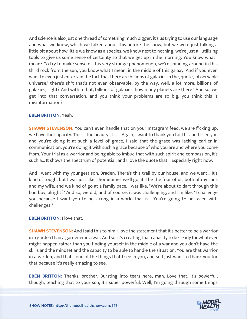And science is also just one thread of something much bigger, it's us trying to use our language and what we know, which we talked about this before the show, but we were just talking a little bit about how little we know as a species, we know next to nothing, we're just all utilizing tools to give us some sense of certainty so that we get up in the morning. You know what I mean? To try to make sense of this very strange phenomenon, we're spinning around in this third rock from the sun, you know what I mean, in the middle of this galaxy. And if you even want to even just entertain the fact that there are billions of galaxies in the, quote, 'observable universe,' there's sh\*t that's not even observable, by the way, well, a lot more, billions of galaxies, right? And within that, billions of galaxies, how many planets are there? And so, we get into that conversation, and you think your problems are so big, you think this is misinformation?

#### **EBEN BRITTON:** Yeah.

**SHAWN STEVENSON:** You can't even handle that on your Instagram feed, we are f<sup>\*</sup>cking up, we have the capacity. This is the beauty, it is... Again, I want to thank you for this, and I see you and you're doing it at such a level of grace, I said that the grace was lacking earlier in communication, you're doing it with such a grace because of who you are and where you come from. Your trial as a warrior and being able to imbue that with such spirit and compassion, it's such a... It shows the spectrum of potential, and I love the quote that... Especially right now.

And I went with my youngest son, Braden. There's this trail by our house, and we went... It's kind of tough, but I was just like... Sometimes we'll go, it'll be the four of us, both of my sons and my wife, and we kind of go at a family pace. I was like, "We're about to dart through this bad boy, alright?" And so, we did, and of course, it was challenging, and I'm like, "I challenge you because I want you to be strong in a world that is... You're going to be faced with challenges."

#### **EBEN BRITTON:** I love that.

**SHAWN STEVENSON:** And I said this to him. I love the statement that it's better to be a warrior in a garden than a gardener in a war. And so, it's creating that capacity to be ready for whatever might happen rather than you finding yourself in the middle of a war and you don't have the skills and the mindset and the capacity to be able to handle the situation. You are that warrior in a garden, and that's one of the things that I see in you, and so I just want to thank you for that because it's really amazing to see.

**EBEN BRITTON:** Thanks, brother. Bursting into tears here, man. Love that. It's powerful, [though, teaching that to your son, it](https://themodelhealthshow.com/eben-britton/)'[s super powerful. Well, I](https://themodelhealthshow.com/eben-britton/)'[m going through some things](https://themodelhealthshow.com/eben-britton/)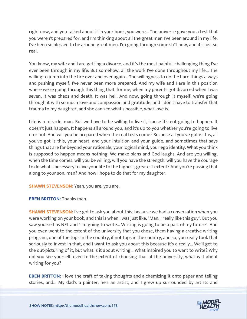right now, and you talked about it in your book, you were... The universe gave you a test that you weren't prepared for, and I'm thinking about all the great men I've been around in my life. I've been so blessed to be around great men. I'm going through some sh\*t now, and it's just so real.

You know, my wife and I are getting a divorce, and it's the most painful, challenging thing I've ever been through in my life. But somehow, all the work I've done throughout my life... The willing to jump into the fire over and over again... The willingness to do the hard things always and pushing myself, I've never been more prepared. And my wife and I are in this position where we're going through this thing that, for me, when my parents got divorced when I was seven, it was chaos and death. It was hell. And now, going through it myself, we're going through it with so much love and compassion and gratitude, and I don't have to transfer that trauma to my daughter, and she can see what's possible, what love is.

Life is a miracle, man. But we have to be willing to live it, 'cause it's not going to happen. It doesn't just happen. It happens all around you, and it's up to you whether you're going to live it or not. And will you be prepared when the real tests come? Because all you've got is this, all you've got is this, your heart, and your intuition and your guide, and sometimes that says things that are far beyond your rationale, your logical mind, your ego identity. What you think is supposed to happen means nothing. We make plans and God laughs. And are you willing, when the time comes, will you be willing, will you have the strength, will you have the courage to do what's necessary to live your life to the highest, greatest extent? And you're passing that along to your son, man? And how I hope to do that for my daughter.

**SHAWN STEVENSON:** Yeah, you are, you are.

**EBEN BRITTON:** Thanks man.

**SHAWN STEVENSON:** I've got to ask you about this, because we had a conversation when you were working on your book, and this is when I was just like, "Man, I really like this guy". But you saw yourself as NFL and "I'm going to write... Writing is going to be a part of my future". And you even went to the extent of the university that you chose, them having a creative writing program, one of the tops in the country, if not tops in the country, and so, you really took that seriously to invest in that, and I want to ask you about this because it's a really... We'll get to the out-picturing of it, but what is it about writing... What inspired you to want to write? Why did you see yourself, even to the extent of choosing that at the university, what is it about writing for you?

**EBEN BRITTON:** I love the craft of taking thoughts and alchemizing it onto paper and telling [stories, and... My dad](https://themodelhealthshow.com/eben-britton/)'[s a painter, he](https://themodelhealthshow.com/eben-britton/)'[s an artist, and I grew up surrounded by artists and](https://themodelhealthshow.com/eben-britton/) 

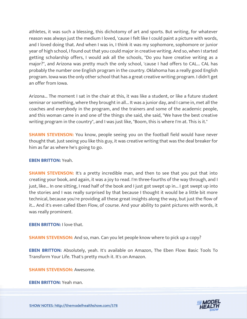athletes, it was such a blessing, this dichotomy of art and sports. But writing, for whatever reason was always just the medium I loved, 'cause I felt like I could paint a picture with words, and I loved doing that. And when I was in, I think it was my sophomore, sophomore or junior year of high school, I found out that you could major in creative writing. And so, when I started getting scholarship offers, I would ask all the schools, "Do you have creative writing as a major?", and Arizona was pretty much the only school, 'cause I had offers to CAL... CAL has probably the number one English program in the country. Oklahoma has a really good English program. Iowa was the only other school that has a great creative writing program. I didn't get an offer from Iowa.

Arizona... The moment I sat in the chair at this, it was like a student, or like a future student seminar or something, where they brought in all... It was a junior day, and I came in, met all the coaches and everybody in the program, and the trainers and some of the academic people, and this woman came in and one of the things she said, she said, "We have the best creative writing program in the country", and I was just like, "Boom, this is where I'm at. This is it."

**SHAWN STEVENSON:** You know, people seeing you on the football field would have never thought that. Just seeing you like this guy, it was creative writing that was the deal breaker for him as far as where he's going to go.

# **EBEN BRITTON:** Yeah.

**SHAWN STEVENSON:** It's a pretty incredible man, and then to see that you put that into creating your book, and again, it was a joy to read. I'm three-fourths of the way through, and I just, like... In one sitting, I read half of the book and I just got swept up in... I got swept up into the stories and I was really surprised by that because I thought it would be a little bit more technical, because you're providing all these great insights along the way, but just the flow of it... And it's even called Eben Flow, of course. And your ability to paint pictures with words, it was really prominent.

**EBEN BRITTON:** I love that.

**SHAWN STEVENSON:** And so, man. Can you let people know where to pick up a copy?

**EBEN BRITTON:** Absolutely, yeah. It's available on Amazon, The Eben Flow: Basic Tools To Transform Your Life. That's pretty much it. It's on Amazon.

**SHAWN STEVENSON:** Awesome.

**[EBEN BRITTON:](https://themodelhealthshow.com/eben-britton/)** Yeah man.